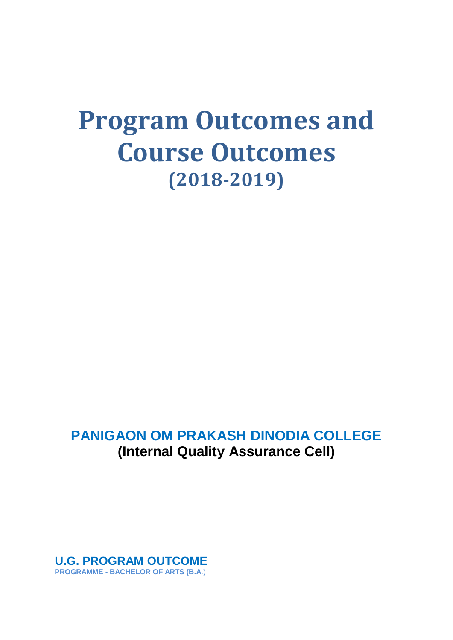# **Program Outcomes and Course Outcomes (2018-2019)**

# **PANIGAON OM PRAKASH DINODIA COLLEGE (Internal Quality Assurance Cell)**

**U.G. PROGRAM OUTCOME PROGRAMME - BACHELOR OF ARTS (B.A**.)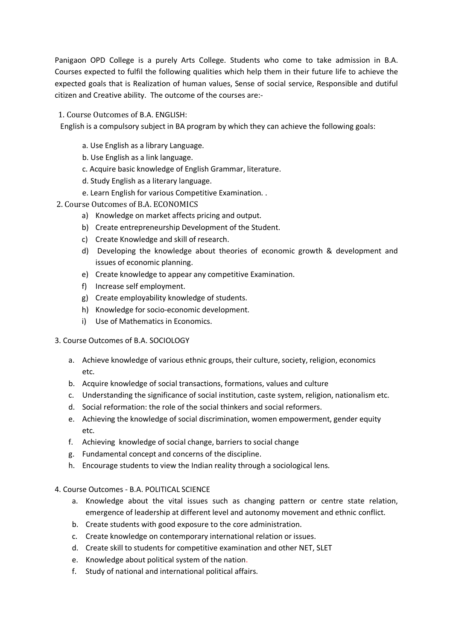Panigaon OPD College is a purely Arts College. Students who come to take admission in B.A. Courses expected to fulfil the following qualities which help them in their future life to achieve the expected goals that is Realization of human values, Sense of social service, Responsible and dutiful citizen and Creative ability. The outcome of the courses are:-

# 1. Course Outcomes of B.A. ENGLISH:

English is a compulsory subject in BA program by which they can achieve the following goals:

- a. Use English as a library Language.
- b. Use English as a link language.
- c. Acquire basic knowledge of English Grammar, literature.
- d. Study English as a literary language.
- e. Learn English for various Competitive Examination. .
- 2. Course Outcomes of B.A. ECONOMICS
	- a) Knowledge on market affects pricing and output.
	- b) Create entrepreneurship Development of the Student.
	- c) Create Knowledge and skill of research.
	- d) Developing the knowledge about theories of economic growth & development and issues of economic planning.
	- e) Create knowledge to appear any competitive Examination.
	- f) Increase self employment.
	- g) Create employability knowledge of students.
	- h) Knowledge for socio-economic development.
	- i) Use of Mathematics in Economics.

# 3. Course Outcomes of B.A. SOCIOLOGY

- a. Achieve knowledge of various ethnic groups, their culture, society, religion, economics etc.
- b. Acquire knowledge of social transactions, formations, values and culture
- c. Understanding the significance of social institution, caste system, religion, nationalism etc.
- d. Social reformation: the role of the social thinkers and social reformers.
- e. Achieving the knowledge of social discrimination, women empowerment, gender equity etc.
- f. Achieving knowledge of social change, barriers to social change
- g. Fundamental concept and concerns of the discipline.
- h. Encourage students to view the Indian reality through a sociological lens.

# 4. Course Outcomes - B.A. POLITICAL SCIENCE

- a. Knowledge about the vital issues such as changing pattern or centre state relation, emergence of leadership at different level and autonomy movement and ethnic conflict.
- b. Create students with good exposure to the core administration.
- c. Create knowledge on contemporary international relation or issues.
- d. Create skill to students for competitive examination and other NET, SLET
- e. Knowledge about political system of the nation.
- f. Study of national and international political affairs.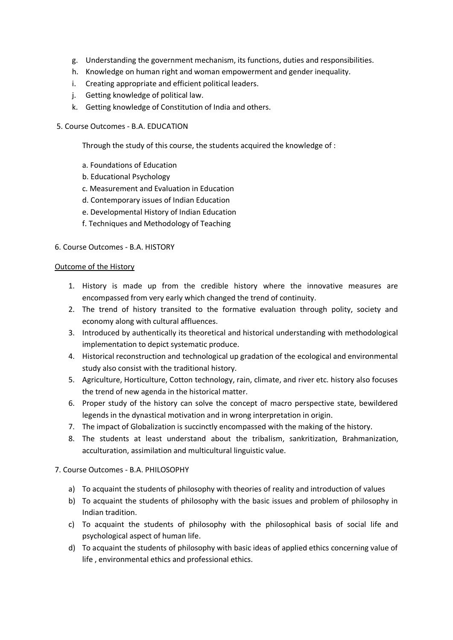- g. Understanding the government mechanism, its functions, duties and responsibilities.
- h. Knowledge on human right and woman empowerment and gender inequality.
- i. Creating appropriate and efficient political leaders.
- j. Getting knowledge of political law.
- k. Getting knowledge of Constitution of India and others.
- 5. Course Outcomes B.A. EDUCATION

Through the study of this course, the students acquired the knowledge of :

- a. Foundations of Education
- b. Educational Psychology
- c. Measurement and Evaluation in Education
- d. Contemporary issues of Indian Education
- e. Developmental History of Indian Education
- f. Techniques and Methodology of Teaching

#### 6. Course Outcomes - B.A. HISTORY

#### Outcome of the History

- 1. History is made up from the credible history where the innovative measures are encompassed from very early which changed the trend of continuity.
- 2. The trend of history transited to the formative evaluation through polity, society and economy along with cultural affluences.
- 3. Introduced by authentically its theoretical and historical understanding with methodological implementation to depict systematic produce.
- 4. Historical reconstruction and technological up gradation of the ecological and environmental study also consist with the traditional history.
- 5. Agriculture, Horticulture, Cotton technology, rain, climate, and river etc. history also focuses the trend of new agenda in the historical matter.
- 6. Proper study of the history can solve the concept of macro perspective state, bewildered legends in the dynastical motivation and in wrong interpretation in origin.
- 7. The impact of Globalization is succinctly encompassed with the making of the history.
- 8. The students at least understand about the tribalism, sankritization, Brahmanization, acculturation, assimilation and multicultural linguistic value.

#### 7. Course Outcomes - B.A. PHILOSOPHY

- a) To acquaint the students of philosophy with theories of reality and introduction of values
- b) To acquaint the students of philosophy with the basic issues and problem of philosophy in Indian tradition.
- c) To acquaint the students of philosophy with the philosophical basis of social life and psychological aspect of human life.
- d) To acquaint the students of philosophy with basic ideas of applied ethics concerning value of life , environmental ethics and professional ethics.